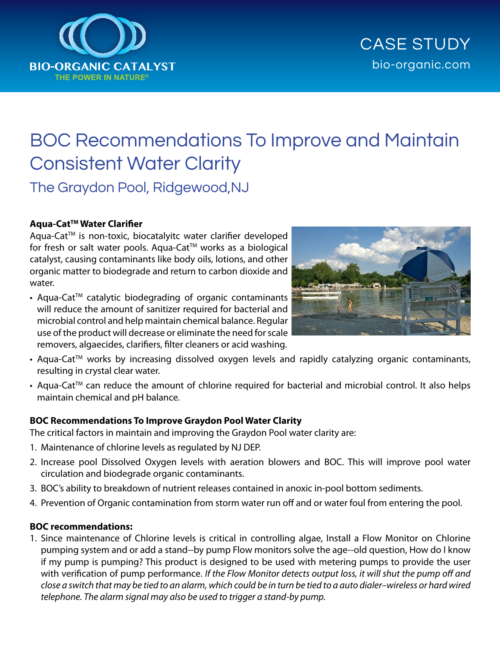

# BOC Recommendations To Improve and Maintain Consistent Water Clarity The Graydon Pool, Ridgewood,NJ

## **Aqua-CatTM Water Clarifier**

Aqua-Cat™ is non-toxic, biocatalyitc water clarifier developed for fresh or salt water pools. Aqua-Cat™ works as a biological catalyst, causing contaminants like body oils, lotions, and other organic matter to biodegrade and return to carbon dioxide and water.

• Aqua-Cat<sup>™</sup> catalytic biodegrading of organic contaminants will reduce the amount of sanitizer required for bacterial and microbial control and help maintain chemical balance. Regular use of the product will decrease or eliminate the need for scale removers, algaecides, clarifiers, filter cleaners or acid washing.



- Aqua-Cat<sup>™</sup> works by increasing dissolved oxygen levels and rapidly catalyzing organic contaminants, resulting in crystal clear water.
- Aqua-Cat<sup>™</sup> can reduce the amount of chlorine required for bacterial and microbial control. It also helps maintain chemical and pH balance.

## **BOC Recommendations To Improve Graydon Pool Water Clarity**

The critical factors in maintain and improving the Graydon Pool water clarity are:

- 1. Maintenance of chlorine levels as regulated by NJ DEP.
- 2. Increase pool Dissolved Oxygen levels with aeration blowers and BOC. This will improve pool water circulation and biodegrade organic contaminants.
- 3. BOC's ability to breakdown of nutrient releases contained in anoxic in‐pool bottom sediments.
- 4. Prevention of Organic contamination from storm water run off and or water foul from entering the pool.

## **BOC recommendations:**

1. Since maintenance of Chlorine levels is critical in controlling algae, Install a Flow Monitor on Chlorine pumping system and or add a stand--by pump Flow monitors solve the age--old question, How do I know if my pump is pumping? This product is designed to be used with metering pumps to provide the user with verification of pump performance. *If the Flow Monitor detects output loss, it will shut the pump off and close a switch that may be tied to an alarm, which could be in turn be tied to a auto dialer–wireless or hard wired telephone. The alarm signal may also be used to trigger a stand-by pump.*